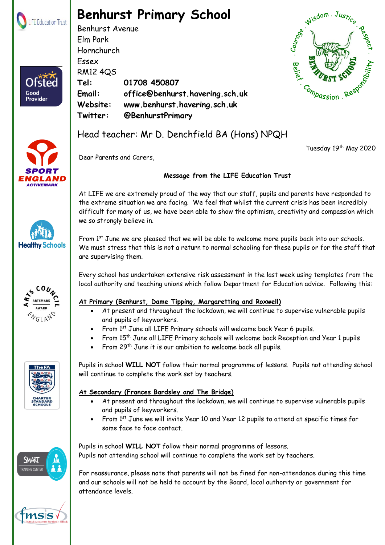

Ofster

Good **Provider** 

# **Benhurst Primary School**

Benhurst Avenue Elm Park Hornchurch Essex RM12 4QS **Tel: 01708 450807 Email: office@benhurst.havering.sch.uk Website: www.benhurst.havering.sch.uk Twitter: @BenhurstPrimary**



Tuesday 19<sup>th</sup> May 2020



## Head teacher: Mr D. Denchfield BA (Hons) NPQH

Dear Parents and Carers,

## **Message from the LIFE Education Trust**

At LIFE we are extremely proud of the way that our staff, pupils and parents have responded to the extreme situation we are facing. We feel that whilst the current crisis has been incredibly difficult for many of us, we have been able to show the optimism, creativity and compassion which we so strongly believe in.

From 1<sup>st</sup> June we are pleased that we will be able to welcome more pupils back into our schools. We must stress that this is not a return to normal schooling for these pupils or for the staff that are supervising them.

Every school has undertaken extensive risk assessment in the last week using templates from the local authority and teaching unions which follow Department for Education advice. Following this:

#### **At Primary (Benhurst, Dame Tipping, Margaretting and Roxwell)**

- At present and throughout the lockdown, we will continue to supervise vulnerable pupils and pupils of keyworkers.
- From 1st June all LIFE Primary schools will welcome back Year 6 pupils.
- From 15th June all LIFE Primary schools will welcome back Reception and Year 1 pupils
- From 29<sup>th</sup> June it is our ambition to welcome back all pupils.

Pupils in school **WILL NOT** follow their normal programme of lessons. Pupils not attending school will continue to complete the work set by teachers.

### **At Secondary (Frances Bardsley and The Bridge)**

- At present and throughout the lockdown, we will continue to supervise vulnerable pupils and pupils of keyworkers.
- From 1<sup>st</sup> June we will invite Year 10 and Year 12 pupils to attend at specific times for some face to face contact.

Pupils in school **WILL NOT** follow their normal programme of lessons. Pupils not attending school will continue to complete the work set by teachers.

For reassurance, please note that parents will not be fined for non-attendance during this time and our schools will not be held to account by the Board, local authority or government for attendance levels.





**Healthy Schools** 





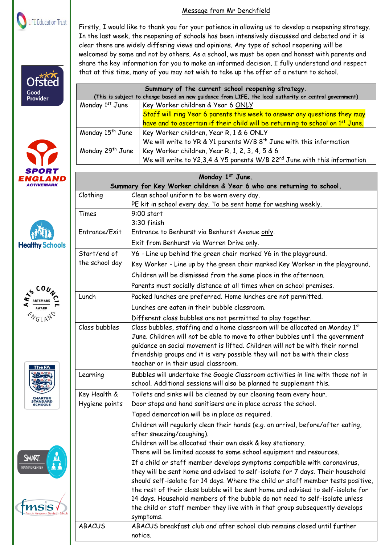

# **Ofsted** Good **Provider**











#### Message from Mr Denchfield

Firstly, I would like to thank you for your patience in allowing us to develop a reopening strategy. In the last week, the reopening of schools has been intensively discussed and debated and it is clear there are widely differing views and opinions. Any type of school reopening will be welcomed by some and not by others. As a school, we must be open and honest with parents and share the key information for you to make an informed decision. I fully understand and respect that at this time, many of you may not wish to take up the offer of a return to school.

| Summary of the current school reopening strategy.                                                      |                                                                                           |  |
|--------------------------------------------------------------------------------------------------------|-------------------------------------------------------------------------------------------|--|
| (This is subject to change based on new guidance from LIFE, the local authority or central government) |                                                                                           |  |
| Monday 1st June                                                                                        | Key Worker children & Year 6 ONLY                                                         |  |
|                                                                                                        | Staff will ring Year 6 parents this week to answer any questions they may                 |  |
|                                                                                                        | have and to ascertain if their child will be returning to school on 1 <sup>st</sup> June. |  |
| Monday 15 <sup>th</sup> June                                                                           | Key Worker children, Year R, 1 & 6 ONLY                                                   |  |
|                                                                                                        | We will write to YR & Y1 parents W/B $8th$ June with this information                     |  |
| Monday 29 <sup>th</sup> June                                                                           | Key Worker children, Year R, 1, 2, 3, 4, 5 & 6                                            |  |
|                                                                                                        | We will write to $Y2,3,4$ & $Y5$ parents W/B 22 <sup>nd</sup> June with this information  |  |
|                                                                                                        |                                                                                           |  |
| Monday 1st June.                                                                                       |                                                                                           |  |
|                                                                                                        | Summary for Key Worker children & Year 6 who are returning to school.                     |  |
| Clothing                                                                                               | Clean school uniform to be worn every day.                                                |  |
|                                                                                                        | PE kit in school every day. To be sent home for washing weekly.                           |  |
| Times                                                                                                  | $9:00$ start                                                                              |  |
|                                                                                                        | 3:30 finish                                                                               |  |
| Entrance/Exit                                                                                          | Entrance to Benhurst via Benhurst Avenue only.                                            |  |
|                                                                                                        | Exit from Benhurst via Warren Drive only.                                                 |  |
| Start/end of                                                                                           | Y6 - Line up behind the green chair marked Y6 in the playground.                          |  |
| the school day                                                                                         | Key Worker - Line up by the green chair marked Key Worker in the playground.              |  |
|                                                                                                        | Children will be dismissed from the same place in the afternoon.                          |  |
|                                                                                                        | Parents must socially distance at all times when on school premises.                      |  |
| Lunch                                                                                                  | Packed lunches are preferred. Home lunches are not permitted.                             |  |
|                                                                                                        | Lunches are eaten in their bubble classroom.                                              |  |
|                                                                                                        | Different class bubbles are not permitted to play together.                               |  |
| Class bubbles                                                                                          | Class bubbles, staffing and a home classroom will be allocated on Monday 1st              |  |
|                                                                                                        | June. Children will not be able to move to other bubbles until the government             |  |

| Class bubbles  | Class bubbles, staffing and a home classroom will be allocated on Monday 1st<br>June. Children will not be able to move to other bubbles until the government<br>guidance on social movement is lifted. Children will not be with their normal<br>friendship groups and it is very possible they will not be with their class<br>teacher or in their usual classroom. |
|----------------|-----------------------------------------------------------------------------------------------------------------------------------------------------------------------------------------------------------------------------------------------------------------------------------------------------------------------------------------------------------------------|
| Learning       | Bubbles will undertake the Google Classroom activities in line with those not in<br>school. Additional sessions will also be planned to supplement this.                                                                                                                                                                                                              |
| Key Health &   | Toilets and sinks will be cleaned by our cleaning team every hour.                                                                                                                                                                                                                                                                                                    |
| Hygiene points | Door stops and hand sanitisers are in place across the school.                                                                                                                                                                                                                                                                                                        |
|                | Taped demarcation will be in place as required.                                                                                                                                                                                                                                                                                                                       |
|                | Children will regularly clean their hands (e.g. on arrival, before/after eating,<br>after sneezing/coughing).                                                                                                                                                                                                                                                         |
|                | Children will be allocated their own desk & key stationary.                                                                                                                                                                                                                                                                                                           |
|                | There will be limited access to some school equipment and resources.                                                                                                                                                                                                                                                                                                  |
|                | If a child or staff member develops symptoms compatible with coronavirus,<br>they will be sent home and advised to self-isolate for 7 days. Their household<br>should self-isolate for 14 days. Where the child or staff member tests positive,<br>the rest of their class bubble will be sent home and advised to self-isolate for                                   |

 Benhurst Primary School part of LIFE Education Trust. Registered in England & Wales. Company Number: 08102628 Registered Address: The Frances Bardsley Academy for Girls, Brentwood Road, Romford. Essex. RM1 2RR symptoms. 14 days. Household members of the bubble do not need to self-isolate unless the child or staff member they live with in that group subsequently develops ABACUS ABACUS breakfast club and after school club remains closed until further notice.